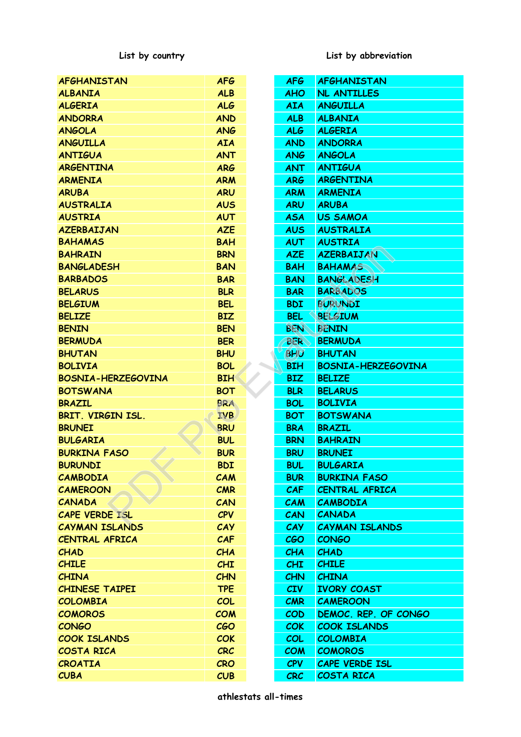**List by country List by abbreviation**

| <b>AFGHANISTAN</b>        | <b>AFG</b> |  | <b>AFG</b> | <b>AFGHANISTAN</b>        |  |
|---------------------------|------------|--|------------|---------------------------|--|
| <b>ALBANIA</b>            | <b>ALB</b> |  | <b>AHO</b> | <b>NL ANTILLES</b>        |  |
| <b>ALGERIA</b>            | <b>ALG</b> |  | <b>AIA</b> | <b>ANGUILLA</b>           |  |
| <b>ANDORRA</b>            | <b>AND</b> |  | <b>ALB</b> | <b>ALBANIA</b>            |  |
| <b>ANGOLA</b>             | <b>ANG</b> |  | <b>ALG</b> | <b>ALGERIA</b>            |  |
| <b>ANGUILLA</b>           | <b>AIA</b> |  | <b>AND</b> | <b>ANDORRA</b>            |  |
| <b>ANTIGUA</b>            | <b>ANT</b> |  | <b>ANG</b> | <b>ANGOLA</b>             |  |
| <b>ARGENTINA</b>          | <b>ARG</b> |  | <b>ANT</b> | <b>ANTIGUA</b>            |  |
| <b>ARMENIA</b>            | <b>ARM</b> |  | <b>ARG</b> | <b>ARGENTINA</b>          |  |
| <b>ARUBA</b>              | <b>ARU</b> |  | <b>ARM</b> | <b>ARMENIA</b>            |  |
| <b>AUSTRALIA</b>          | <b>AUS</b> |  | <b>ARU</b> | <b>ARUBA</b>              |  |
| <b>AUSTRIA</b>            | <b>AUT</b> |  | <b>ASA</b> | <b>US SAMOA</b>           |  |
| <b>AZERBAIJAN</b>         | <b>AZE</b> |  | <b>AUS</b> | <b>AUSTRALIA</b>          |  |
| <b>BAHAMAS</b>            | <b>BAH</b> |  | <b>AUT</b> | <b>AUSTRIA</b>            |  |
| <b>BAHRAIN</b>            | <b>BRN</b> |  | <b>AZE</b> | <b>AZERBAIJAN</b>         |  |
| <b>BANGLADESH</b>         | <b>BAN</b> |  | <b>BAH</b> | <b>BAHAMAS</b>            |  |
| <b>BARBADOS</b>           | <b>BAR</b> |  | <b>BAN</b> | <b>BANGLADESH</b>         |  |
| <b>BELARUS</b>            | <b>BLR</b> |  | <b>BAR</b> | <b>BARBADOS</b>           |  |
| <b>BELGIUM</b>            | <b>BEL</b> |  | <b>BDI</b> | <b>BURUNDI</b>            |  |
| <b>BELIZE</b>             | <b>BIZ</b> |  | <b>BEL</b> | <b>BELGIUM</b>            |  |
| <b>BENIN</b>              | <b>BEN</b> |  | <b>BEN</b> | <b>BENIN</b>              |  |
| <b>BERMUDA</b>            | <b>BER</b> |  | <b>BER</b> | <b>BERMUDA</b>            |  |
| <b>BHUTAN</b>             | <b>BHU</b> |  | <b>BHU</b> | <b>BHUTAN</b>             |  |
| <b>BOLIVIA</b>            | <b>BOL</b> |  | <b>BIH</b> | <b>BOSNIA-HERZEGOVINA</b> |  |
| <b>BOSNIA-HERZEGOVINA</b> | <b>BIH</b> |  | <b>BIZ</b> | <b>BELIZE</b>             |  |
| <b>BOTSWANA</b>           | <b>BOT</b> |  | <b>BLR</b> | <b>BELARUS</b>            |  |
| <b>BRAZIL</b>             | <b>BRA</b> |  | <b>BOL</b> | <b>BOLIVIA</b>            |  |
| BRIT. VIRGIN ISL.         | <b>IVB</b> |  | <b>BOT</b> | <b>BOTSWANA</b>           |  |
| <b>BRUNEI</b>             | <b>BRU</b> |  | <b>BRA</b> | <b>BRAZIL</b>             |  |
| <b>BULGARIA</b>           | <b>BUL</b> |  | <b>BRN</b> | <b>BAHRAIN</b>            |  |
| <b>BURKINA FASO</b>       | <b>BUR</b> |  | <b>BRU</b> | <b>BRUNEI</b>             |  |
| <b>BURUNDI</b>            | <b>BDI</b> |  | <b>BUL</b> | <b>BULGARIA</b>           |  |
| <b>CAMBODIA</b>           | CAM        |  | <b>BUR</b> | <b>BURKINA FASO</b>       |  |
| <b>CAMEROON</b>           | <b>CMR</b> |  | CAF        | <b>CENTRAL AFRICA</b>     |  |
| <b>CANADA</b>             | CAN        |  | <b>CAM</b> | <b>CAMBODIA</b>           |  |
| <b>CAPE VERDE ISL</b>     | <b>CPV</b> |  | CAN        | <b>CANADA</b>             |  |
| <b>CAYMAN ISLANDS</b>     | CAY        |  | <b>CAY</b> | <b>CAYMAN ISLANDS</b>     |  |
| <b>CENTRAL AFRICA</b>     | CAF        |  | <b>CGO</b> | <b>CONGO</b>              |  |
| <b>CHAD</b>               | <b>CHA</b> |  | <b>CHA</b> | <b>CHAD</b>               |  |
| <b>CHILE</b>              | <b>CHI</b> |  | <b>CHI</b> | <b>CHILE</b>              |  |
| <b>CHINA</b>              | <b>CHN</b> |  | <b>CHN</b> | <b>CHINA</b>              |  |
| <b>CHINESE TAIPEI</b>     | <b>TPE</b> |  | <b>CIV</b> | <b>IVORY COAST</b>        |  |
| <b>COLOMBIA</b>           | COL        |  | <b>CMR</b> | <b>CAMEROON</b>           |  |
| <b>COMOROS</b>            | <b>COM</b> |  | <b>COD</b> | DEMOC. REP. OF CONGO      |  |
| <b>CONGO</b>              | <b>CGO</b> |  | <b>COK</b> | <b>COOK ISLANDS</b>       |  |
| <b>COOK ISLANDS</b>       | <b>COK</b> |  | <b>COL</b> | <b>COLOMBIA</b>           |  |
| <b>COSTA RICA</b>         | <b>CRC</b> |  | <b>COM</b> | <b>COMOROS</b>            |  |
| <b>CROATIA</b>            | <b>CRO</b> |  | <b>CPV</b> | <b>CAPE VERDE ISL</b>     |  |
| <b>CUBA</b>               | CUB        |  | <b>CRC</b> | <b>COSTA RICA</b>         |  |
| athlestats all-times      |            |  |            |                           |  |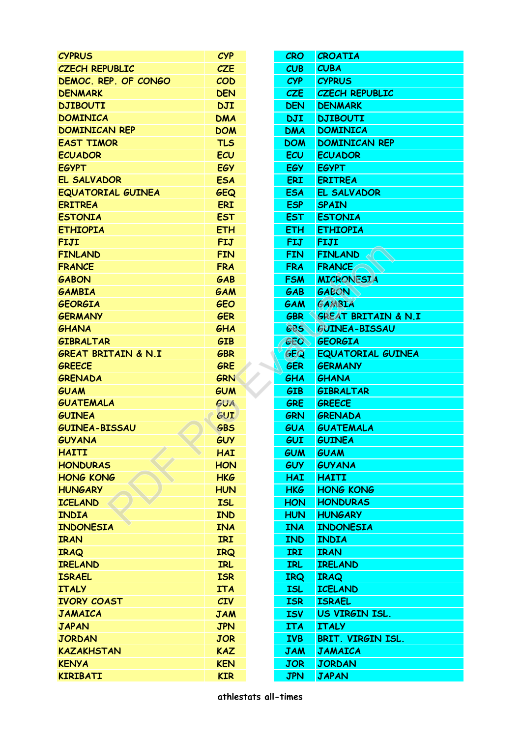| <b>CYPRUS</b>                  | <b>CYP</b> |  | <b>CRO</b> | <b>CROATIA</b>                 |  |
|--------------------------------|------------|--|------------|--------------------------------|--|
| <b>CZECH REPUBLIC</b>          | <b>CZE</b> |  | CUB        | <b>CUBA</b>                    |  |
| DEMOC. REP. OF CONGO           | <b>COD</b> |  | <b>CYP</b> | <b>CYPRUS</b>                  |  |
| <b>DENMARK</b>                 | <b>DEN</b> |  | <b>CZE</b> | <b>CZECH REPUBLIC</b>          |  |
| <b>DJIBOUTI</b>                | <b>DJI</b> |  | <b>DEN</b> | <b>DENMARK</b>                 |  |
| <b>DOMINICA</b>                | <b>DMA</b> |  | <b>DJI</b> | <b>DJIBOUTI</b>                |  |
| <b>DOMINICAN REP</b>           | <b>DOM</b> |  | <b>DMA</b> | <b>DOMINICA</b>                |  |
| <b>EAST TIMOR</b>              | <b>TLS</b> |  | <b>DOM</b> | <b>DOMINICAN REP</b>           |  |
| <b>ECUADOR</b>                 | ECU        |  | <b>ECU</b> | <b>ECUADOR</b>                 |  |
| <b>EGYPT</b>                   | <b>EGY</b> |  | <b>EGY</b> | <b>EGYPT</b>                   |  |
| EL SALVADOR                    | <b>ESA</b> |  | <b>ERI</b> | <b>ERITREA</b>                 |  |
| <b>EQUATORIAL GUINEA</b>       | <b>GEQ</b> |  | <b>ESA</b> | EL SALVADOR                    |  |
| <b>ERITREA</b>                 | <b>ERI</b> |  | <b>ESP</b> | <b>SPAIN</b>                   |  |
| <b>ESTONIA</b>                 | <b>EST</b> |  | <b>EST</b> | <b>ESTONIA</b>                 |  |
| <b>ETHIOPIA</b>                | <b>ETH</b> |  | <b>ETH</b> | <b>ETHIOPIA</b>                |  |
| <b>FIJI</b>                    | <b>FIJ</b> |  | <b>FIJ</b> | <b>FIJI</b>                    |  |
| <b>FINLAND</b>                 | <b>FIN</b> |  | <b>FIN</b> | <b>FINLAND</b>                 |  |
| <b>FRANCE</b>                  | <b>FRA</b> |  | <b>FRA</b> | <b>FRANCE</b>                  |  |
| <b>GABON</b>                   | GAB        |  | <b>FSM</b> | <b>MICRONESIA</b>              |  |
| <b>GAMBIA</b>                  | GAM        |  | GAB        | <b>GABON</b>                   |  |
| <b>GEORGIA</b>                 | <b>GEO</b> |  | GAM        | <b>GAMBIA</b>                  |  |
| <b>GERMANY</b>                 | <b>GER</b> |  | <b>GBR</b> | <b>GREAT BRITAIN &amp; N.I</b> |  |
| <b>GHANA</b>                   | GHA        |  | <b>GBS</b> | <b>GUINEA-BISSAU</b>           |  |
| <b>GIBRALTAR</b>               | <b>GIB</b> |  | <b>GEO</b> | <b>GEORGIA</b>                 |  |
| <b>GREAT BRITAIN &amp; N.I</b> | <b>GBR</b> |  | GEQ        | <b>EQUATORIAL GUINEA</b>       |  |
| <b>GREECE</b>                  | <b>GRE</b> |  | <b>GER</b> | <b>GERMANY</b>                 |  |
| <b>GRENADA</b>                 | GRN        |  | GHA        | <b>GHANA</b>                   |  |
| <b>GUAM</b>                    | <b>GUM</b> |  | <b>GIB</b> | <b>GIBRALTAR</b>               |  |
| <b>GUATEMALA</b>               | <b>GUA</b> |  | <b>GRE</b> | <b>GREECE</b>                  |  |
| <b>GUINEA</b>                  | <b>GUI</b> |  | <b>GRN</b> | <b>GRENADA</b>                 |  |
| <b>GUINEA-BISSAU</b>           | <b>GBS</b> |  | GUA        | <b>GUATEMALA</b>               |  |
| <b>GUYANA</b>                  | <b>GUY</b> |  | GUI        | <b>GUINEA</b>                  |  |
| <b>HAITI</b>                   | <b>HAI</b> |  | <b>GUM</b> | <b>GUAM</b>                    |  |
| <b>HONDURAS</b>                | <b>HON</b> |  | <b>GUY</b> | <b>GUYANA</b>                  |  |
| <b>HONG KONG</b>               | <b>HKG</b> |  | <b>HAI</b> | <b>HAITI</b>                   |  |
| <b>HUNGARY</b>                 | <b>HUN</b> |  | <b>HKG</b> | <b>HONG KONG</b>               |  |
| <b>ICELAND</b>                 | <b>ISL</b> |  | <b>HON</b> | <b>HONDURAS</b>                |  |
| <b>INDIA</b>                   | <b>IND</b> |  | <b>HUN</b> | <b>HUNGARY</b>                 |  |
| <b>INDONESIA</b>               | <b>INA</b> |  | <b>INA</b> | <b>INDONESIA</b>               |  |
| <b>IRAN</b>                    | <b>IRI</b> |  | <b>IND</b> | <b>INDIA</b>                   |  |
|                                |            |  | <b>IRI</b> |                                |  |
| <b>IRAQ</b>                    | <b>IRQ</b> |  |            | <b>IRAN</b>                    |  |
| <b>IRELAND</b>                 | <b>IRL</b> |  | <b>IRL</b> | <b>IRELAND</b>                 |  |
| <b>ISRAEL</b>                  | <b>ISR</b> |  | <b>IRQ</b> | <b>IRAQ</b>                    |  |
| <b>ITALY</b>                   | <b>ITA</b> |  | <b>ISL</b> | <b>ICELAND</b>                 |  |
| <b>IVORY COAST</b>             | <b>CIV</b> |  | <b>ISR</b> | <b>ISRAEL</b>                  |  |
| <b>JAMAICA</b>                 | <b>JAM</b> |  | <b>ISV</b> | US VIRGIN ISL.                 |  |
| <b>JAPAN</b>                   | <b>JPN</b> |  | <b>ITA</b> | <b>ITALY</b>                   |  |
| <b>JORDAN</b>                  | <b>JOR</b> |  | <b>IVB</b> | BRIT. VIRGIN ISL.              |  |
| <b>KAZAKHSTAN</b>              | <b>KAZ</b> |  | <b>JAM</b> | <b>JAMAICA</b>                 |  |
| <b>KENYA</b>                   | <b>KEN</b> |  | <b>JOR</b> | <b>JORDAN</b>                  |  |
| <b>KIRIBATI</b>                | <b>KIR</b> |  | <b>JPN</b> | <b>JAPAN</b>                   |  |
| athlestats all-times           |            |  |            |                                |  |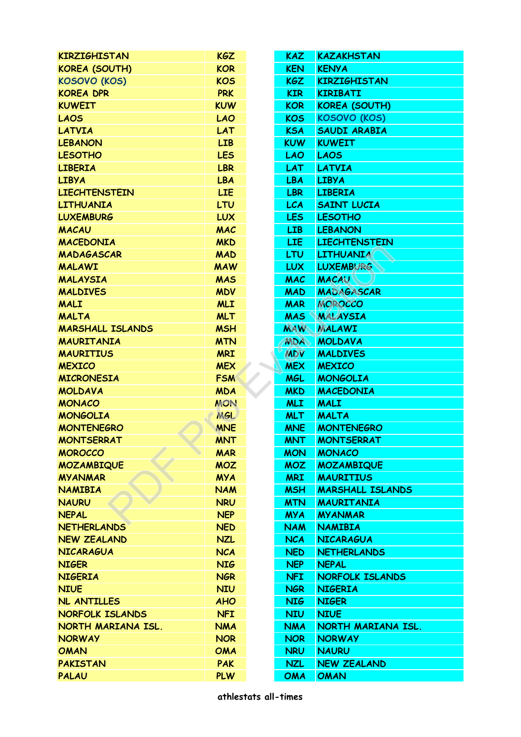| <b>KIRZIGHISTAN</b>     | <b>KGZ</b> |  | KAZ.            | <b>KAZAKHSTAN</b>       |  |  |
|-------------------------|------------|--|-----------------|-------------------------|--|--|
| <b>KOREA (SOUTH)</b>    | <b>KOR</b> |  | <b>KEN</b>      | <b>KENYA</b>            |  |  |
| <b>KOSOVO (KOS)</b>     | <b>KOS</b> |  | <b>KGZ</b>      | <b>KIRZIGHISTAN</b>     |  |  |
| <b>KOREA DPR</b>        | <b>PRK</b> |  | <b>KIR</b>      | <b>KIRIBATI</b>         |  |  |
| <b>KUWEIT</b>           | <b>KUW</b> |  | <b>KOR</b>      | <b>KOREA (SOUTH)</b>    |  |  |
| <b>LAOS</b>             | <b>LAO</b> |  | <b>KOS</b>      | <b>KOSOVO (KOS)</b>     |  |  |
| <b>LATVIA</b>           | <b>LAT</b> |  | <b>KSA</b>      | <b>SAUDI ARABIA</b>     |  |  |
| <b>LEBANON</b>          | <b>LIB</b> |  | <b>KUW</b>      | <b>KUWEIT</b>           |  |  |
| <b>LESOTHO</b>          | <b>LES</b> |  | <b>LAO</b>      | <b>LAOS</b>             |  |  |
| <b>LIBERIA</b>          | <b>LBR</b> |  | <b>LAT</b>      | <b>LATVIA</b>           |  |  |
| <b>LIBYA</b>            | <b>LBA</b> |  | <b>LBA</b>      | <b>LIBYA</b>            |  |  |
| <b>LIECHTENSTEIN</b>    | <b>LIE</b> |  | <b>LBR</b>      | <b>LIBERIA</b>          |  |  |
| <b>LITHUANIA</b>        | LTU        |  | <b>LCA</b>      | <b>SAINT LUCIA</b>      |  |  |
| <b>LUXEMBURG</b>        | <b>LUX</b> |  | LES <sub></sub> | <b>LESOTHO</b>          |  |  |
| <b>MACAU</b>            | <b>MAC</b> |  | <b>LIB</b>      | <b>LEBANON</b>          |  |  |
| <b>MACEDONIA</b>        | <b>MKD</b> |  | <b>LIE</b>      | <b>LIECHTENSTEIN</b>    |  |  |
| <b>MADAGASCAR</b>       | <b>MAD</b> |  | <b>LTU</b>      | <b>LITHUANIA</b>        |  |  |
| <b>MALAWI</b>           | <b>MAW</b> |  | <b>LUX</b>      | <b>LUXEMBURG</b>        |  |  |
| <b>MALAYSIA</b>         | <b>MAS</b> |  | <b>MAC</b>      | <b>MACAU</b>            |  |  |
| <b>MALDIVES</b>         | <b>MDV</b> |  | <b>MAD</b>      | MADAGASCAR              |  |  |
| <b>MALI</b>             | <b>MLI</b> |  | <b>MAR</b>      | <b>MOROCCO</b>          |  |  |
| <b>MALTA</b>            | <b>MLT</b> |  | <b>MAS</b>      | <b>MALAYSIA</b>         |  |  |
| <b>MARSHALL ISLANDS</b> | <b>MSH</b> |  | <b>MAW</b>      | <b>MALAWI</b>           |  |  |
| <b>MAURITANIA</b>       | <b>MTN</b> |  | <b>MDA</b>      | <b>MOLDAVA</b>          |  |  |
| <b>MAURITIUS</b>        | <b>MRI</b> |  | <b>MDV</b>      | <b>MALDIVES</b>         |  |  |
| <b>MEXICO</b>           | <b>MEX</b> |  | <b>MEX</b>      | <b>MEXICO</b>           |  |  |
| <b>MICRONESIA</b>       | <b>FSM</b> |  | <b>MGL</b>      | <b>MONGOLIA</b>         |  |  |
| <b>MOLDAVA</b>          | <b>MDA</b> |  | <b>MKD</b>      | <b>MACEDONIA</b>        |  |  |
| <b>MONACO</b>           | <b>MON</b> |  | <b>MLI</b>      | <b>MALI</b>             |  |  |
| <b>MONGOLIA</b>         | <b>MGL</b> |  | <b>MLT</b>      | <b>MALTA</b>            |  |  |
| <b>MONTENEGRO</b>       | <b>MNE</b> |  | <b>MNE</b>      | <b>MONTENEGRO</b>       |  |  |
| <b>MONTSERRAT</b>       | <b>MNT</b> |  | <b>MNT</b>      | <b>MONTSERRAT</b>       |  |  |
| <b>MOROCCO</b>          | <b>MAR</b> |  | <b>MON</b>      | <b>MONACO</b>           |  |  |
| <b>MOZAMBIQUE</b>       | <b>MOZ</b> |  | <b>MOZ</b>      | <b>MOZAMBIQUE</b>       |  |  |
| <b>MYANMAR</b>          | <b>MYA</b> |  | <b>MRI</b>      | <b>MAURITIUS</b>        |  |  |
| <b>NAMIBIA</b>          | <b>NAM</b> |  | <b>MSH</b>      | <b>MARSHALL ISLANDS</b> |  |  |
| <b>NAURU</b>            | <b>NRU</b> |  | <b>MTN</b>      | <b>MAURITANIA</b>       |  |  |
| <b>NEPAL</b>            | <b>NEP</b> |  | <b>MYA</b>      | <b>MYANMAR</b>          |  |  |
| <b>NETHERLANDS</b>      | <b>NED</b> |  | <b>NAM</b>      | <b>NAMIBIA</b>          |  |  |
| <b>NEW ZEALAND</b>      | <b>NZL</b> |  | <b>NCA</b>      | <b>NICARAGUA</b>        |  |  |
| <b>NICARAGUA</b>        | <b>NCA</b> |  | <b>NED</b>      | <b>NETHERLANDS</b>      |  |  |
| <b>NIGER</b>            | <b>NIG</b> |  | <b>NEP</b>      | <b>NEPAL</b>            |  |  |
| <b>NIGERIA</b>          | <b>NGR</b> |  | <b>NFI</b>      | <b>NORFOLK ISLANDS</b>  |  |  |
| <b>NIUE</b>             | <b>NIU</b> |  | <b>NGR</b>      | <b>NIGERIA</b>          |  |  |
| NL ANTILLES             | <b>AHO</b> |  | <b>NIG</b>      | <b>NIGER</b>            |  |  |
| <b>NORFOLK ISLANDS</b>  | <b>NFI</b> |  | <b>NIU</b>      | <b>NIUE</b>             |  |  |
| NORTH MARIANA ISL.      | <b>NMA</b> |  | <b>NMA</b>      | NORTH MARIANA ISL.      |  |  |
| <b>NORWAY</b>           | <b>NOR</b> |  | <b>NOR</b>      | <b>NORWAY</b>           |  |  |
| <b>OMAN</b>             | <b>OMA</b> |  | <b>NRU</b>      | <b>NAURU</b>            |  |  |
| <b>PAKISTAN</b>         | <b>PAK</b> |  | <b>NZL</b>      | <b>NEW ZEALAND</b>      |  |  |
| <b>PALAU</b>            | <b>PLW</b> |  | <b>OMA</b>      | <b>OMAN</b>             |  |  |
|                         |            |  |                 |                         |  |  |
| athlestats all-times    |            |  |                 |                         |  |  |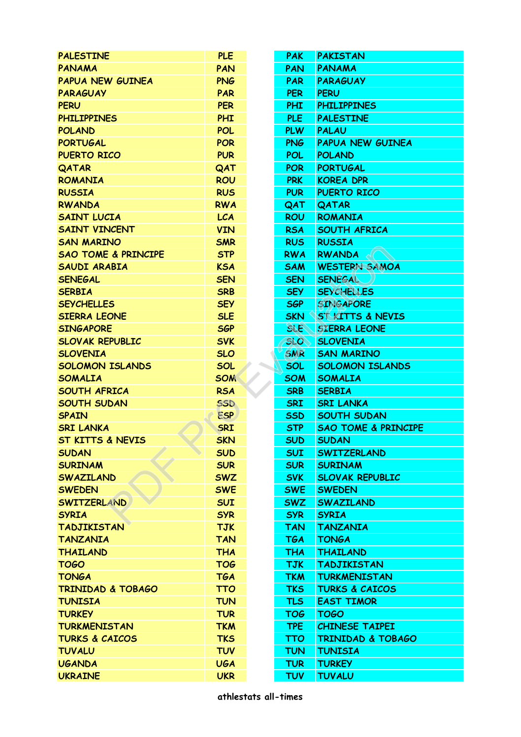| <b>PALESTINE</b>                                 | <b>PLE</b> |  | <b>PAK</b> | <b>PAKISTAN</b>                |  |
|--------------------------------------------------|------------|--|------------|--------------------------------|--|
| <b>PANAMA</b>                                    | <b>PAN</b> |  | <b>PAN</b> | <b>PANAMA</b>                  |  |
| <b>PAPUA NEW GUINEA</b>                          | <b>PNG</b> |  | <b>PAR</b> | <b>PARAGUAY</b>                |  |
| <b>PARAGUAY</b>                                  | <b>PAR</b> |  | <b>PER</b> | <b>PERU</b>                    |  |
| <b>PERU</b>                                      | <b>PER</b> |  | <b>PHI</b> | <b>PHILIPPINES</b>             |  |
| <b>PHILIPPINES</b>                               | <b>PHI</b> |  | PLE        | <b>PALESTINE</b>               |  |
| <b>POLAND</b>                                    | <b>POL</b> |  | <b>PLW</b> | <b>PALAU</b>                   |  |
| <b>PORTUGAL</b>                                  | <b>POR</b> |  | <b>PNG</b> | <b>PAPUA NEW GUINEA</b>        |  |
| <b>PUERTO RICO</b>                               | <b>PUR</b> |  | <b>POL</b> | <b>POLAND</b>                  |  |
| QATAR                                            | QAT        |  | <b>POR</b> | <b>PORTUGAL</b>                |  |
| <b>ROMANIA</b>                                   | <b>ROU</b> |  | <b>PRK</b> | <b>KOREA DPR</b>               |  |
| <b>RUSSIA</b>                                    | <b>RUS</b> |  | <b>PUR</b> | <b>PUERTO RICO</b>             |  |
| <b>RWANDA</b>                                    | <b>RWA</b> |  | QAT        | <b>QATAR</b>                   |  |
| <b>SAINT LUCIA</b>                               | <b>LCA</b> |  |            | <b>ROMANIA</b>                 |  |
|                                                  |            |  | <b>ROU</b> |                                |  |
| <b>SAINT VINCENT</b>                             | <b>VIN</b> |  | <b>RSA</b> | <b>SOUTH AFRICA</b>            |  |
| <b>SAN MARINO</b>                                | <b>SMR</b> |  | <b>RUS</b> | <b>RUSSIA</b>                  |  |
| <b>SAO TOME &amp; PRINCIPE</b>                   | <b>STP</b> |  | <b>RWA</b> | <b>RWANDA</b>                  |  |
| <b>SAUDI ARABIA</b>                              | <b>KSA</b> |  | <b>SAM</b> | <b>WESTERN SAMOA</b>           |  |
| <b>SENEGAL</b>                                   | <b>SEN</b> |  | <b>SEN</b> | <b>SENEGAL</b>                 |  |
| <b>SERBIA</b>                                    | <b>SRB</b> |  | <b>SEY</b> | <b>SEYCHELLES</b>              |  |
| <b>SEYCHELLES</b>                                | <b>SEY</b> |  | <b>SGP</b> | <b>SINGAPORE</b>               |  |
| <b>SIERRA LEONE</b>                              | <b>SLE</b> |  | <b>SKN</b> | <b>ST KITTS &amp; NEVIS</b>    |  |
| <b>SINGAPORE</b>                                 | <b>SGP</b> |  | <b>SLE</b> | <b>SIERRA LEONE</b>            |  |
| <b>SLOVAK REPUBLIC</b>                           | <b>SVK</b> |  | <b>SLO</b> | <b>SLOVENIA</b>                |  |
| <b>SLOVENIA</b>                                  | <b>SLO</b> |  | <b>SMR</b> | <b>SAN MARINO</b>              |  |
| <b>SOLOMON ISLANDS</b>                           | SOL        |  | <b>SOL</b> | <b>SOLOMON ISLANDS</b>         |  |
| <b>SOMALIA</b>                                   | <b>SOM</b> |  | <b>SOM</b> | <b>SOMALIA</b>                 |  |
| <b>SOUTH AFRICA</b>                              | <b>RSA</b> |  | <b>SRB</b> | <b>SERBIA</b>                  |  |
| <b>SOUTH SUDAN</b>                               | <b>SSD</b> |  | <b>SRI</b> | <b>SRI LANKA</b>               |  |
| <b>SPAIN</b>                                     | <b>ESP</b> |  | <b>SSD</b> | <b>SOUTH SUDAN</b>             |  |
| <b>SRI LANKA</b>                                 | <b>SRI</b> |  | <b>STP</b> | <b>SAO TOME &amp; PRINCIPE</b> |  |
| ST KITTS & NEVIS                                 | <b>SKN</b> |  | <b>SUD</b> | <b>SUDAN</b>                   |  |
| <b>SUDAN</b>                                     | <b>SUD</b> |  | <b>SUI</b> | <b>SWITZERLAND</b>             |  |
| <b>SURINAM</b>                                   | <b>SUR</b> |  | <b>SUR</b> | <b>SURINAM</b>                 |  |
| <b>SWAZILAND</b>                                 | <b>SWZ</b> |  | <b>SVK</b> | <b>SLOVAK REPUBLIC</b>         |  |
| <b>SWEDEN</b>                                    | <b>SWE</b> |  | <b>SWE</b> | <b>SWEDEN</b>                  |  |
| <b>SWITZERLAND</b>                               | <b>SUI</b> |  | <b>SWZ</b> | <b>SWAZILAND</b>               |  |
| <b>SYRIA</b>                                     | <b>SYR</b> |  | <b>SYR</b> | <b>SYRIA</b>                   |  |
| <b>TADJIKISTAN</b>                               | <b>TJK</b> |  | <b>TAN</b> | <b>TANZANIA</b>                |  |
| <b>TANZANIA</b>                                  | <b>TAN</b> |  | <b>TGA</b> | <b>TONGA</b>                   |  |
| <b>THAILAND</b>                                  | <b>THA</b> |  | <b>THA</b> | <b>THAILAND</b>                |  |
| <b>TOGO</b>                                      | <b>TOG</b> |  | <b>TJK</b> | <b>TADJIKISTAN</b>             |  |
| <b>TONGA</b>                                     | <b>TGA</b> |  | <b>TKM</b> | <b>TURKMENISTAN</b>            |  |
| <b>TRINIDAD &amp; TOBAGO</b>                     | <b>TTO</b> |  | <b>TKS</b> | <b>TURKS &amp; CAICOS</b>      |  |
| <b>TUNISIA</b>                                   | <b>TUN</b> |  | <b>TLS</b> | <b>EAST TIMOR</b>              |  |
| <b>TURKEY</b>                                    | <b>TUR</b> |  | <b>TOG</b> | <b>TOGO</b>                    |  |
|                                                  |            |  |            |                                |  |
| <b>TURKMENISTAN</b><br><b>TURKS &amp; CAICOS</b> | <b>TKM</b> |  | <b>TPE</b> | <b>CHINESE TAIPEI</b>          |  |
|                                                  | <b>TKS</b> |  | <b>TTO</b> | <b>TRINIDAD &amp; TOBAGO</b>   |  |
| <b>TUVALU</b>                                    | <b>TUV</b> |  | <b>TUN</b> | <b>TUNISIA</b>                 |  |
| <b>UGANDA</b>                                    | <b>UGA</b> |  | <b>TUR</b> | <b>TURKEY</b>                  |  |
| <b>UKRAINE</b>                                   | <b>UKR</b> |  | <b>TUV</b> | <b>TUVALU</b>                  |  |
| athlestats all-times                             |            |  |            |                                |  |